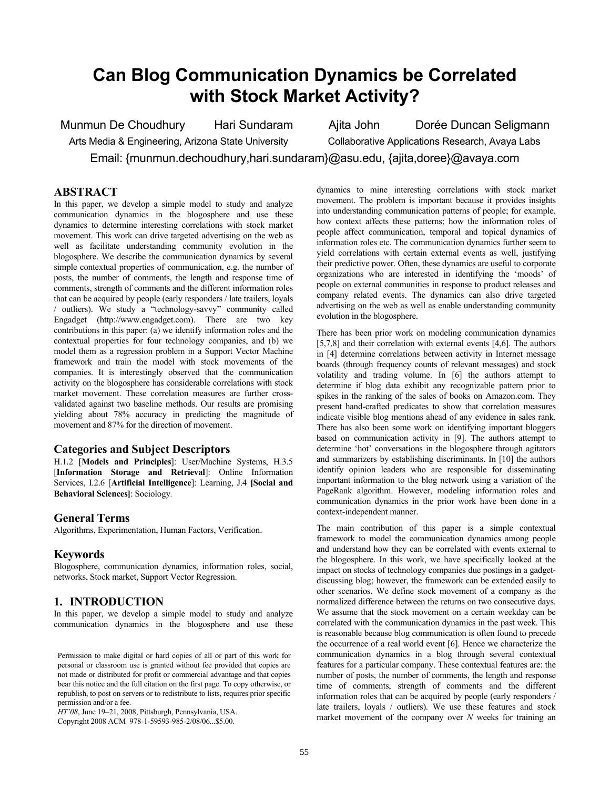# **Can Blog Communication Dynamics be Correlated with Stock Market Activity?**

Munmun De Choudhury Hari Sundaram Ajita John Dorée Duncan Seligmann Arts Media & Engineering, Arizona State University Collaborative Applications Research, Avaya Labs Email: {munmun.dechoudhury,hari.sundaram}@asu.edu, {ajita,doree}@avaya.com

# **ABSTRACT**

In this paper, we develop a simple model to study and analyze communication dynamics in the blogosphere and use these dynamics to determine interesting correlations with stock market movement. This work can drive targeted advertising on the web as well as facilitate understanding community evolution in the blogosphere. We describe the communication dynamics by several simple contextual properties of communication, e.g. the number of posts, the number of comments, the length and response time of comments, strength of comments and the different information roles that can be acquired by people (early responders / late trailers, loyals / outliers). We study a "technology-savvy" community called Engadget (http://www.engadget.com). There are two key contributions in this paper: (a) we identify information roles and the contextual properties for four technology companies, and (b) we model them as a regression problem in a Support Vector Machine framework and train the model with stock movements of the companies. It is interestingly observed that the communication activity on the blogosphere has considerable correlations with stock market movement. These correlation measures are further crossvalidated against two baseline methods. Our results are promising yielding about 78% accuracy in predicting the magnitude of movement and 87% for the direction of movement.

# **Categories and Subject Descriptors**

H.1.2 [**Models and Principles**]: User/Machine Systems, H.3.5 [**Information Storage and Retrieval**]: Online Information Services, I.2.6 [**Artificial Intelligence**]: Learning, J.4 **[Social and Behavioral Sciences]**: Sociology*.*

## **General Terms**

Algorithms, Experimentation, Human Factors, Verification.

## **Keywords**

Blogosphere, communication dynamics, information roles, social, networks, Stock market, Support Vector Regression.

# **1. INTRODUCTION**

In this paper, we develop a simple model to study and analyze communication dynamics in the blogosphere and use these

*HT'08*, June 19–21, 2008, Pittsburgh, Pennsylvania, USA. Copyright 2008 ACM 978-1-59593-985-2/08/06...\$5.00.

dynamics to mine interesting correlations with stock market movement. The problem is important because it provides insights into understanding communication patterns of people; for example, how context affects these patterns; how the information roles of people affect communication, temporal and topical dynamics of information roles etc. The communication dynamics further seem to yield correlations with certain external events as well, justifying their predictive power. Often, these dynamics are useful to corporate organizations who are interested in identifying the 'moods' of people on external communities in response to product releases and company related events. The dynamics can also drive targeted advertising on the web as well as enable understanding community evolution in the blogosphere.

There has been prior work on modeling communication dynamics [5,7,8] and their correlation with external events [4,6]. The authors in [4] determine correlations between activity in Internet message boards (through frequency counts of relevant messages) and stock volatility and trading volume. In [6] the authors attempt to determine if blog data exhibit any recognizable pattern prior to spikes in the ranking of the sales of books on Amazon.com. They present hand-crafted predicates to show that correlation measures indicate visible blog mentions ahead of any evidence in sales rank. There has also been some work on identifying important bloggers based on communication activity in [9]. The authors attempt to determine 'hot' conversations in the blogosphere through agitators and summarizers by establishing discriminants. In [10] the authors identify opinion leaders who are responsible for disseminating important information to the blog network using a variation of the PageRank algorithm. However, modeling information roles and communication dynamics in the prior work have been done in a context-independent manner.

The main contribution of this paper is a simple contextual framework to model the communication dynamics among people and understand how they can be correlated with events external to the blogosphere. In this work, we have specifically looked at the impact on stocks of technology companies due postings in a gadgetdiscussing blog; however, the framework can be extended easily to other scenarios. We define stock movement of a company as the normalized difference between the returns on two consecutive days. We assume that the stock movement on a certain weekday can be correlated with the communication dynamics in the past week. This is reasonable because blog communication is often found to precede the occurrence of a real world event [6]. Hence we characterize the communication dynamics in a blog through several contextual features for a particular company. These contextual features are: the number of posts, the number of comments, the length and response time of comments, strength of comments and the different information roles that can be acquired by people (early responders / late trailers, loyals / outliers). We use these features and stock market movement of the company over *N* weeks for training an

Permission to make digital or hard copies of all or part of this work for personal or classroom use is granted without fee provided that copies are not made or distributed for profit or commercial advantage and that copies bear this notice and the full citation on the first page. To copy otherwise, or republish, to post on servers or to redistribute to lists, requires prior specific permission and/or a fee.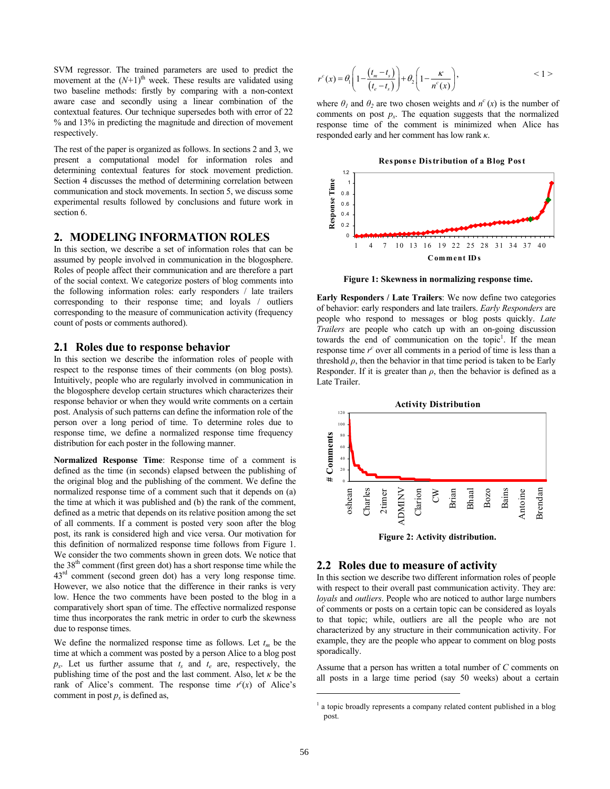SVM regressor. The trained parameters are used to predict the movement at the  $(N+1)$ <sup>th</sup> week. These results are validated using two baseline methods: firstly by comparing with a non-context aware case and secondly using a linear combination of the contextual features. Our technique supersedes both with error of 22 % and 13% in predicting the magnitude and direction of movement respectively.

The rest of the paper is organized as follows. In sections 2 and 3, we present a computational model for information roles and determining contextual features for stock movement prediction. Section 4 discusses the method of determining correlation between communication and stock movements. In section 5, we discuss some experimental results followed by conclusions and future work in section 6.

# **2. MODELING INFORMATION ROLES**

In this section, we describe a set of information roles that can be assumed by people involved in communication in the blogosphere. Roles of people affect their communication and are therefore a part of the social context. We categorize posters of blog comments into the following information roles: early responders / late trailers corresponding to their response time; and loyals / outliers corresponding to the measure of communication activity (frequency count of posts or comments authored).

#### **2.1 Roles due to response behavior**

In this section we describe the information roles of people with respect to the response times of their comments (on blog posts). Intuitively, people who are regularly involved in communication in the blogosphere develop certain structures which characterizes their response behavior or when they would write comments on a certain post. Analysis of such patterns can define the information role of the person over a long period of time. To determine roles due to response time, we define a normalized response time frequency distribution for each poster in the following manner.

**Normalized Response Time**: Response time of a comment is defined as the time (in seconds) elapsed between the publishing of the original blog and the publishing of the comment. We define the normalized response time of a comment such that it depends on (a) the time at which it was published and (b) the rank of the comment, defined as a metric that depends on its relative position among the set of all comments. If a comment is posted very soon after the blog post, its rank is considered high and vice versa. Our motivation for this definition of normalized response time follows from Figure 1. We consider the two comments shown in green dots. We notice that the  $38<sup>th</sup>$  comment (first green dot) has a short response time while the 43<sup>rd</sup> comment (second green dot) has a very long response time. However, we also notice that the difference in their ranks is very low. Hence the two comments have been posted to the blog in a comparatively short span of time. The effective normalized response time thus incorporates the rank metric in order to curb the skewness due to response times.

We define the normalized response time as follows. Let  $t_m$  be the time at which a comment was posted by a person Alice to a blog post  $p_x$ . Let us further assume that  $t_s$  and  $t_e$  are, respectively, the publishing time of the post and the last comment. Also, let *κ* be the rank of Alice's comment. The response time  $r^c(x)$  of Alice's comment in post  $p_x$  is defined as,

$$
r^{c}(x) = \theta_{1}\left(1 - \frac{(t_{m} - t_{s})}{(t_{e} - t_{s})}\right) + \theta_{2}\left(1 - \frac{\kappa}{n^{c}(x)}\right), \qquad \qquad < 1 >
$$

where  $\theta$ <sup>*I*</sup> and  $\theta$ <sup>2</sup> are two chosen weights and  $n^c$  (*x*) is the number of comments on post  $p_x$ . The equation suggests that the normalized response time of the comment is minimized when Alice has responded early and her comment has low rank *κ*.

#### **Res pons e Dis tribution of a Blog Pos t**



**Figure 1: Skewness in normalizing response time.**

**Early Responders / Late Trailers**: We now define two categories of behavior: early responders and late trailers. *Early Responders* are people who respond to messages or blog posts quickly. *Late Trailers* are people who catch up with an on-going discussion towards the end of communication on the topic<sup>1</sup>. If the mean response time  $r^c$  over all comments in a period of time is less than a threshold  $\rho$ , then the behavior in that time period is taken to be Early Responder. If it is greater than  $\rho$ , then the behavior is defined as a Late Trailer.



#### **2.2 Roles due to measure of activity**

In this section we describe two different information roles of people with respect to their overall past communication activity. They are: *loyals* and *outliers*. People who are noticed to author large numbers of comments or posts on a certain topic can be considered as loyals to that topic; while, outliers are all the people who are not characterized by any structure in their communication activity. For example, they are the people who appear to comment on blog posts sporadically.

Assume that a person has written a total number of *C* comments on all posts in a large time period (say 50 weeks) about a certain

1

<sup>&</sup>lt;sup>1</sup> a topic broadly represents a company related content published in a blog post.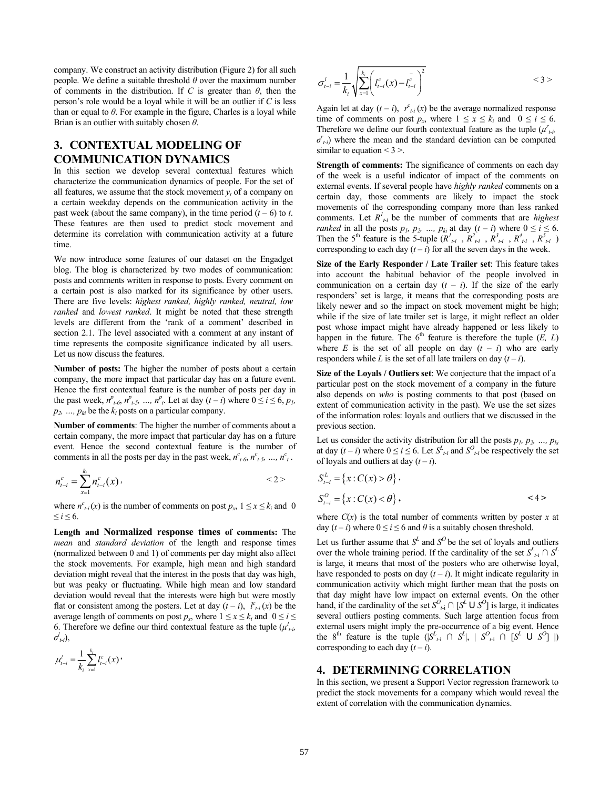company. We construct an activity distribution (Figure 2) for all such people. We define a suitable threshold *θ* over the maximum number of comments in the distribution. If *C* is greater than *θ*, then the person's role would be a loyal while it will be an outlier if *C* is less than or equal to  $\theta$ . For example in the figure, Charles is a loyal while Brian is an outlier with suitably chosen *θ*.

# **3. CONTEXTUAL MODELING OF COMMUNICATION DYNAMICS**

In this section we develop several contextual features which characterize the communication dynamics of people. For the set of all features, we assume that the stock movement  $y_t$  of a company on a certain weekday depends on the communication activity in the past week (about the same company), in the time period  $(t - 6)$  to *t*. These features are then used to predict stock movement and determine its correlation with communication activity at a future time.

We now introduce some features of our dataset on the Engadget blog. The blog is characterized by two modes of communication: posts and comments written in response to posts. Every comment on a certain post is also marked for its significance by other users. There are five levels: *highest ranked, highly ranked, neutral, low ranked* and *lowest ranked*. It might be noted that these strength levels are different from the 'rank of a comment' described in section 2.1. The level associated with a comment at any instant of time represents the composite significance indicated by all users. Let us now discuss the features.

**Number of posts:** The higher the number of posts about a certain company, the more impact that particular day has on a future event. Hence the first contextual feature is the number of posts per day in the past week,  $n_{t-6}^p$ ,  $n_{t-5}^p$ , ...,  $n_{t}^p$ . Let at day  $(t - i)$  where  $0 \le i \le 6$ ,  $p_1$ ,  $p_2$ , ...,  $p_{ki}$  be the  $k_i$  posts on a particular company.

**Number of comments**: The higher the number of comments about a certain company, the more impact that particular day has on a future event. Hence the second contextual feature is the number of comments in all the posts per day in the past week,  $n^c_{t-6}, n^c_{t-5}, ..., n^c_{t}$ .

$$
n_{t-i}^c = \sum_{x=1}^{k_i} n_{t-i}^c(x), \qquad \qquad < 2 > \quad
$$

where  $n_{t-i}^c(x)$  is the number of comments on post  $p_x$ ,  $1 \le x \le k_i$  and 0  $≤ i ≤ 6$ .

**Length and Normalized response times of comments:** The *mean* and *standard deviation* of the length and response times (normalized between 0 and 1) of comments per day might also affect the stock movements. For example, high mean and high standard deviation might reveal that the interest in the posts that day was high, but was peaky or fluctuating. While high mean and low standard deviation would reveal that the interests were high but were mostly flat or consistent among the posters. Let at day  $(t - i)$ ,  $l^c_{t}$  (*x*) be the average length of comments on post  $p_x$ , where  $1 \le x \le k_i$  and  $0 \le i \le k$ 6. Therefore we define our third contextual feature as the tuple  $(\mu^l_{t+b})$ *σl t-i*),

$$
\mu_{t-i}^l = \frac{1}{k_i} \sum_{x=1}^{k_i} l_{t-i}^c(x)
$$

$$
\sigma_{t-i}^l = \frac{1}{k_i} \sqrt{\sum_{x=1}^{k_i} \left( l_{t-i}^c(x) - l_{t-i}^c \right)^2}
$$
  $< 3 >$ 

Again let at day  $(t - i)$ ,  $r^e_{t-i}(x)$  be the average normalized response time of comments on post  $p_x$ , where  $1 \le x \le k_i$  and  $0 \le i \le 6$ . Therefore we define our fourth contextual feature as the tuple  $(\mu_{t}^r)$ *σr t-i*) where the mean and the standard deviation can be computed similar to equation  $\leq$  3  $>$ .

**Strength of comments:** The significance of comments on each day of the week is a useful indicator of impact of the comments on external events. If several people have *highly ranked* comments on a certain day, those comments are likely to impact the stock movements of the corresponding company more than less ranked comments. Let  $R^l_{l-i}$  be the number of comments that are *highest ranked* in all the posts  $p_1$ ,  $p_2$ , ...,  $p_{ki}$  at day  $(t - i)$  where  $0 \le i \le 6$ . Then the 5<sup>th</sup> feature is the 5-tuple  $(R^{l}_{t-i}, R^{2}_{t-i}, R^{3}_{t-i}, R^{4}_{t-i}, R^{5}_{t-i})$ corresponding to each day  $(t - i)$  for all the seven days in the week.

**Size of the Early Responder / Late Trailer set**: This feature takes into account the habitual behavior of the people involved in communication on a certain day  $(t - i)$ . If the size of the early responders' set is large, it means that the corresponding posts are likely newer and so the impact on stock movement might be high; while if the size of late trailer set is large, it might reflect an older post whose impact might have already happened or less likely to happen in the future. The  $6<sup>th</sup>$  feature is therefore the tuple  $(E, L)$ where  $E$  is the set of all people on day  $(t - i)$  who are early responders while *L* is the set of all late trailers on day  $(t - i)$ .

**Size of the Loyals / Outliers set**: We conjecture that the impact of a particular post on the stock movement of a company in the future also depends on *who* is posting comments to that post (based on extent of communication activity in the past). We use the set sizes of the information roles: loyals and outliers that we discussed in the previous section.

Let us consider the activity distribution for all the posts  $p_1, p_2, ..., p_k$ at day  $(t - i)$  where  $0 \le i \le 6$ . Let  $S_{t-i}^l$  and  $S_{t-i}^O$  be respectively the set of loyals and outliers at day  $(t - i)$ .

$$
S_{t-i}^{L} = \{x : C(x) > \theta\},
$$
  
\n
$$
S_{t-i}^{O} = \{x : C(x) < \theta\},
$$
  
\n
$$
4 >
$$

where  $C(x)$  is the total number of comments written by poster x at day  $(t - i)$  where  $0 \le i \le 6$  and  $\theta$  is a suitably chosen threshold.

Let us further assume that  $S^L$  and  $S^O$  be the set of loyals and outliers over the whole training period. If the cardinality of the set  $S_{\iota i}^L \cap S^L$ is large, it means that most of the posters who are otherwise loyal, have responded to posts on day  $(t - i)$ . It might indicate regularity in communication activity which might further mean that the posts on that day might have low impact on external events. On the other hand, if the cardinality of the set  $S^O_{t-1} \cap [S^L \cup S^O]$  is large, it indicates several outliers posting comments. Such large attention focus from external users might imply the pre-occurrence of a big event. Hence the 8<sup>th</sup> feature is the tuple  $(|S^L_{i} \cap S^L|, |S^O_{i} \cap [S^L \cup S^O]|)$ corresponding to each day  $(t - i)$ .

# **4. DETERMINING CORRELATION**

In this section, we present a Support Vector regression framework to predict the stock movements for a company which would reveal the extent of correlation with the communication dynamics.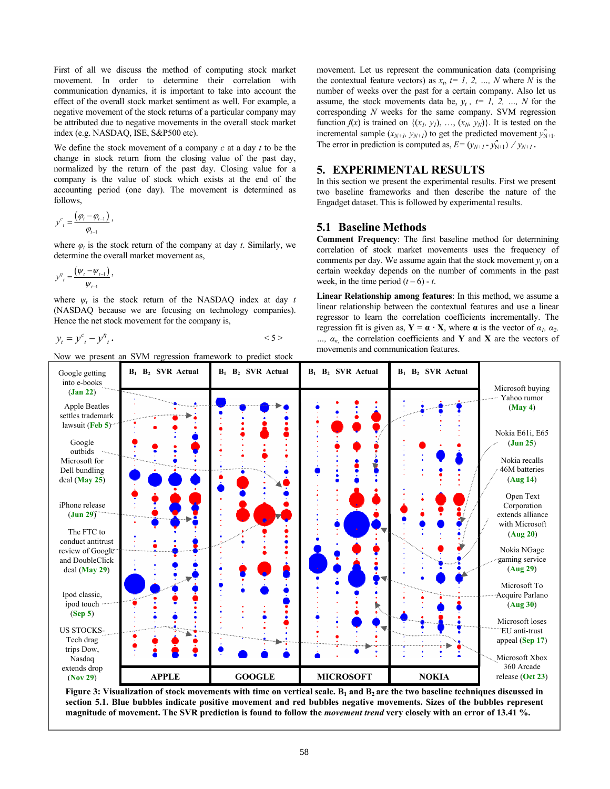First of all we discuss the method of computing stock market movement. In order to determine their correlation with communication dynamics, it is important to take into account the effect of the overall stock market sentiment as well. For example, a negative movement of the stock returns of a particular company may be attributed due to negative movements in the overall stock market index (e.g. NASDAQ, ISE, S&P500 etc).

We define the stock movement of a company *c* at a day *t* to be the change in stock return from the closing value of the past day, normalized by the return of the past day. Closing value for a company is the value of stock which exists at the end of the accounting period (one day). The movement is determined as follows,

$$
y_{t}^{c} = \frac{(\varphi_{t} - \varphi_{t-1})}{\varphi_{t-1}},
$$

where  $\varphi_t$  is the stock return of the company at day *t*. Similarly, we determine the overall market movement as,

$$
y_{t}^{\eta} = \frac{(\psi_{t} - \psi_{t-1})}{\psi_{t-1}},
$$

where  $\psi_t$  is the stock return of the NASDAQ index at day *t* (NASDAQ because we are focusing on technology companies). Hence the net stock movement for the company is,

$$
y_t = y_{t}^c - y_{t}^{\eta}, \qquad \qquad \leq 5 >
$$



movement. Let us represent the communication data (comprising the contextual feature vectors) as  $x_t$ ,  $t=1, 2, ..., N$  where *N* is the number of weeks over the past for a certain company. Also let us assume, the stock movements data be,  $y_t$ ,  $t = 1, 2, ..., N$  for the corresponding *N* weeks for the same company. SVM regression function  $f(x)$  is trained on  $\{(x_1, y_1), \ldots, (x_N, y_N)\}\)$ . It is tested on the incremental sample  $(x_{N+1}, y_{N+1})$  to get the predicted movement  $y_{N+1}^{\uparrow}$ . The error in prediction is computed as,  $E = (y_{N+1} - y_{N+1}) / y_{N+1}$ .

# **5. EXPERIMENTAL RESULTS**

In this section we present the experimental results. First we present two baseline frameworks and then describe the nature of the Engadget dataset. This is followed by experimental results.

# **5.1 Baseline Methods**

**Comment Frequency**: The first baseline method for determining correlation of stock market movements uses the frequency of comments per day. We assume again that the stock movement  $v_t$  on a certain weekday depends on the number of comments in the past week, in the time period  $(t-6)$  - *t*.

**Linear Relationship among features**: In this method, we assume a linear relationship between the contextual features and use a linear regressor to learn the correlation coefficients incrementally. The regression fit is given as,  $Y = \alpha \cdot X$ , where  $\alpha$  is the vector of  $\alpha_1$ ,  $\alpha_2$ , *…, αn*, the correlation coefficients and **Y** and **X** are the vectors of movements and communication features.



**Figure 3: Visualization of stock movements with time on vertical scale. B<sub>1</sub> and B<sub>2</sub> are the two baseline techniques discussed in section 5.1. Blue bubbles indicate positive movement and red bubbles negative movements. Sizes of the bubbles represent magnitude of movement. The SVR prediction is found to follow the** *movement trend* **very closely with an error of 13.41 %.**